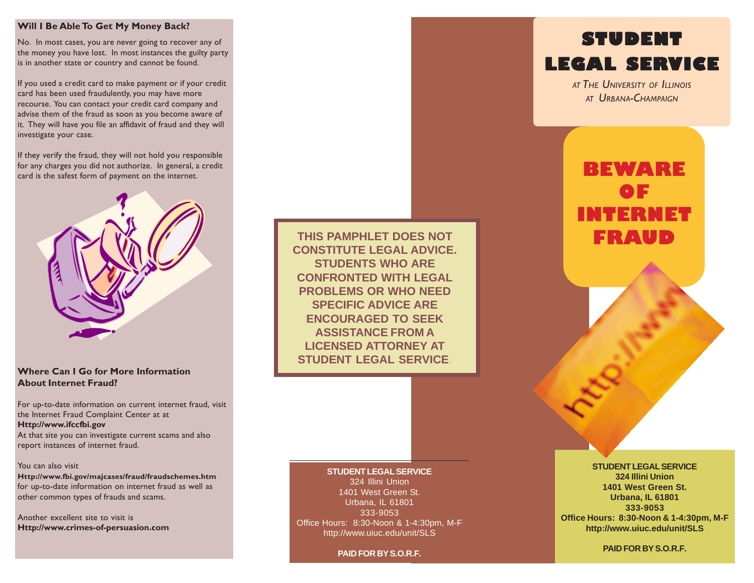#### **Will I Be Able To Get My Money Back?**

No. In most cases, you are never going to recover any of the money you have lost. In most instances the guilty party is in another state or country and cannot be found.

If you used a credit card to make payment or if your credit card has been used fraudulently, you may have more recourse. You can contact your credit card company and advise them of the fraud as soon as you become aware of it. They will have you file an affidavit of fraud and they will investigate your case.

If they verify the fraud, they will not hold you responsible for any charges you did not authorize. In general, a credit card is the safest form of payment on the internet.



# **Where Can I Go for More Information About Internet Fraud?**

For up-to-date information on current internet fraud, visit the Internet Fraud Complaint Center at at **Http://www.ifccfbi.gov** At that site you can investigate current scams and also report instances of internet fraud.

#### You can also visit

**Http://www.fbi.gov/majcases/fraud/fraudschemes.htm** for up-to-date information on internet fraud as well as other common types of frauds and scams.

Another excellent site to visit is **Http://www.crimes-of-persuasion.com**

**THIS PAMPHLET DOES NOT CONSTITUTE LEGAL ADVICE. STUDENTS WHO ARE CONFRONTED WITH LEGAL PROBLEMS OR WHO NEED SPECIFIC ADVICE ARE ENCOURAGED TO SEEK ASSISTANCE FROM A LICENSED ATTORNEY AT STUDENT LEGAL SERVICE.**

# **STUDENT LEGAL SERVICE**

*AT THE UNIVERSITY OF ILLINOIS AT URBANA-CHAMPAIGN*

# **BEWARE OF INTERNET FRAUD**

# **STUDENT LEGAL SERVICE**

324 Illini Union 1401 West Green St. Urbana, IL 61801 333-9053 Office Hours: 8:30-Noon & 1-4:30pm, M-F http://www.uiuc.edu/unit/SLS

**PAID FOR BY S.O.R.F.**

### **STUDENT LEGAL SERVICE 324 Illini Union 1401 West Green St. Urbana, IL 61801 333-9053 Office Hours: 8:30-Noon & 1-4:30pm, M-F http://www.uiuc.edu/unit/SLS**

**PAID FOR BY S.O.R.F.**